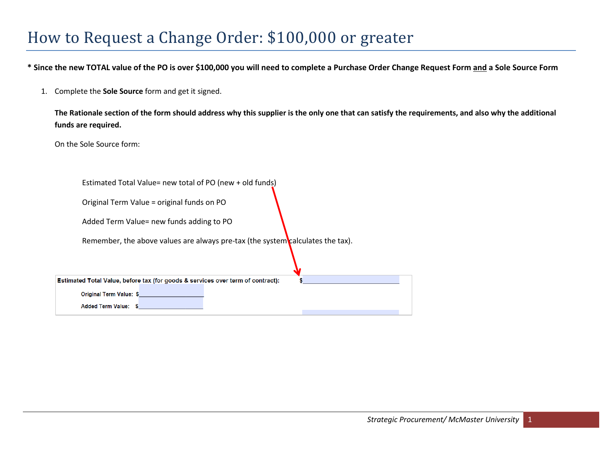## How to Request a Change Order: \$100,000 or greater

**\* Since the new TOTAL value of the PO is over \$100,000 you will need to complete a Purchase Order Change Request Form and a Sole Source Form**

1. Complete the **Sole Source** form and get it signed.

**The Rationale section of the form should address why this supplier is the only one that can satisfy the requirements, and also why the additional funds are required.**

On the Sole Source form:

| Estimated Total Value= new total of PO (new + old funds)                        |  |
|---------------------------------------------------------------------------------|--|
| Original Term Value = original funds on PO                                      |  |
| Added Term Value= new funds adding to PO                                        |  |
| Remember, the above values are always pre-tax (the system calculates the tax).  |  |
| Estimated Total Value, before tax (for goods & services over term of contract): |  |
| <b>Original Term Value: \$</b>                                                  |  |
| <b>Added Term Value:</b>                                                        |  |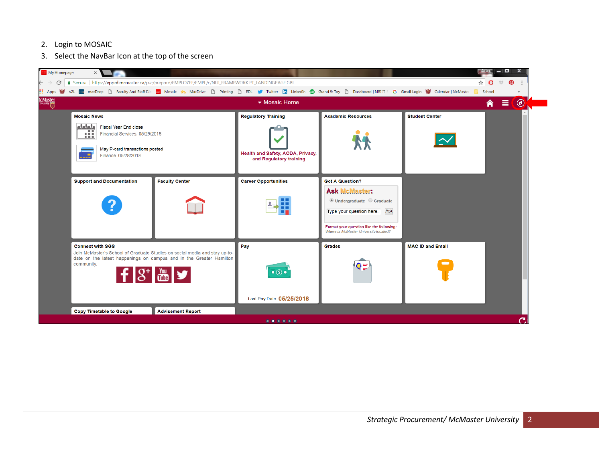- 2. Login to MOSAIC
- 3. Select the NavBar Icon at the top of the screen

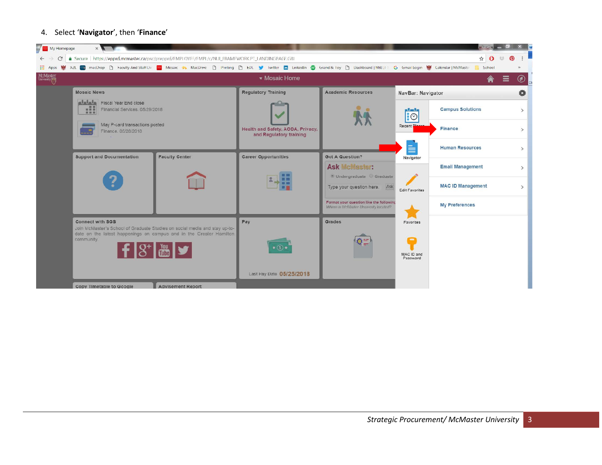## 4. Select '**Navigator**', then '**Finance**'

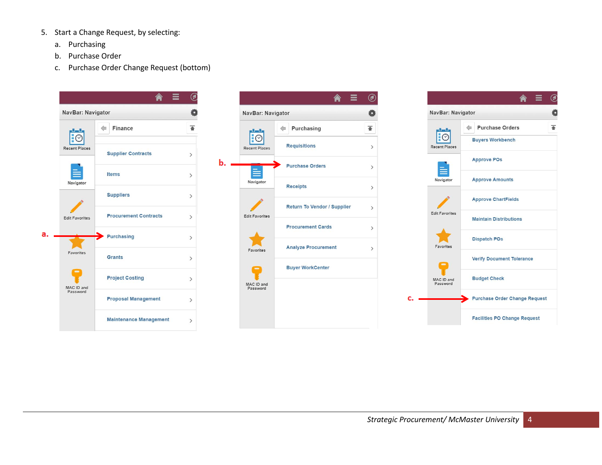- 5. Start a Change Request, by selecting:
	- a. Purchasing
	- b. Purchase Order
	- c. Purchase Order Change Request (bottom)





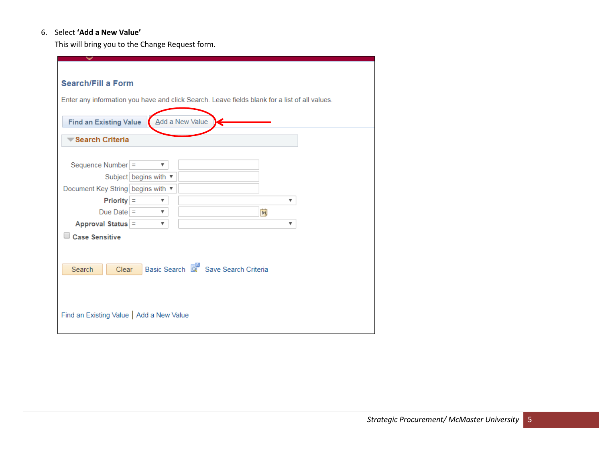## 6. Select **'Add a New Value'**

This will bring you to the Change Request form.

| <b>Search/Fill a Form</b><br><b>Find an Existing Value</b> |                         | Enter any information you have and click Search. Leave fields blank for a list of all values.<br>Add a New Value |   |
|------------------------------------------------------------|-------------------------|------------------------------------------------------------------------------------------------------------------|---|
|                                                            |                         |                                                                                                                  |   |
| Search Criteria                                            |                         |                                                                                                                  |   |
|                                                            |                         |                                                                                                                  |   |
|                                                            | $\overline{\mathbf{v}}$ |                                                                                                                  |   |
| Sequence Number =                                          |                         |                                                                                                                  |   |
| Subject begins with ▼                                      |                         |                                                                                                                  |   |
| Document Key String begins with ▼                          |                         |                                                                                                                  |   |
| $Priority =$                                               | ▼                       |                                                                                                                  | ▼ |
| Due Date $=$                                               | $\overline{\mathbf{v}}$ | $\overline{\mathbf{B}}$                                                                                          |   |
| Approval Status =                                          | ▼                       |                                                                                                                  | ▼ |
| <b>Case Sensitive</b>                                      |                         |                                                                                                                  |   |
|                                                            |                         |                                                                                                                  |   |
|                                                            |                         |                                                                                                                  |   |
|                                                            |                         |                                                                                                                  |   |
| Search<br>Clear                                            |                         | Basic Search & Save Search Criteria                                                                              |   |
|                                                            |                         |                                                                                                                  |   |
|                                                            |                         |                                                                                                                  |   |
|                                                            |                         |                                                                                                                  |   |
|                                                            |                         |                                                                                                                  |   |
| Find an Existing Value   Add a New Value                   |                         |                                                                                                                  |   |
|                                                            |                         |                                                                                                                  |   |
|                                                            |                         |                                                                                                                  |   |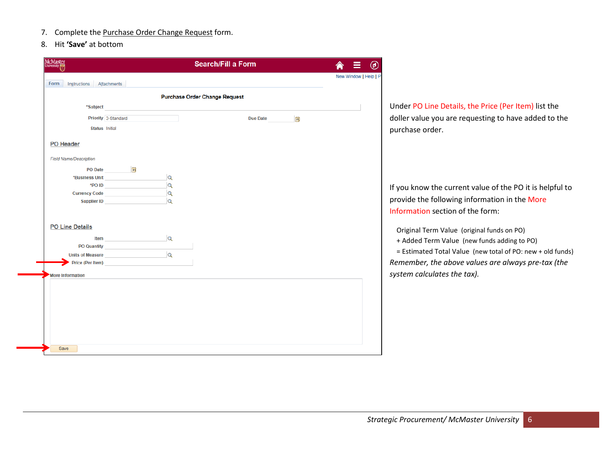- 7. Complete the Purchase Order Change Request form.
- 8. Hit **'Save'** at bottom

| <b>McMaster</b><br><b>University</b> |                                                                                                                |          | <b>Search/Fill a Form</b>            |          |          |                       | ◉ |
|--------------------------------------|----------------------------------------------------------------------------------------------------------------|----------|--------------------------------------|----------|----------|-----------------------|---|
| Form                                 |                                                                                                                |          |                                      |          |          | New Window   Help   P |   |
| Instructions                         | Attachments                                                                                                    |          |                                      |          |          |                       |   |
|                                      |                                                                                                                |          | <b>Purchase Order Change Request</b> |          |          |                       |   |
| *Subject                             |                                                                                                                |          |                                      |          |          |                       |   |
|                                      | Priority 3-Standard                                                                                            |          |                                      | Due Date | <b>B</b> |                       |   |
| <b>Status</b> Initial                |                                                                                                                |          |                                      |          |          |                       |   |
| <b>PO Header</b>                     |                                                                                                                |          |                                      |          |          |                       |   |
| <b>Field Name/Description</b>        |                                                                                                                |          |                                      |          |          |                       |   |
|                                      | PO Date <b>B</b>                                                                                               |          |                                      |          |          |                       |   |
|                                      | *Business Unit                                                                                                 | $\alpha$ |                                      |          |          |                       |   |
|                                      | $*$ PO ID and a set of $\overline{a}$                                                                          | $\alpha$ |                                      |          |          |                       |   |
|                                      | Currency Code <b>Currency Code</b>                                                                             | $\alpha$ |                                      |          |          |                       |   |
|                                      | Supplier ID and the state of the state of the state of the state of the state of the state of the state of the | $\alpha$ |                                      |          |          |                       |   |
|                                      |                                                                                                                |          |                                      |          |          |                       |   |
| <b>PO Line Details</b>               |                                                                                                                |          |                                      |          |          |                       |   |
|                                      |                                                                                                                |          |                                      |          |          |                       |   |
|                                      | <b>Item Q</b>                                                                                                  |          |                                      |          |          |                       |   |
|                                      | PO Quantity <b>Example 20</b>                                                                                  |          |                                      |          |          |                       |   |
|                                      | Units of Measure<br>Price (Per Item)                                                                           |          |                                      |          |          |                       |   |
|                                      |                                                                                                                |          |                                      |          |          |                       |   |
| More Information                     |                                                                                                                |          |                                      |          |          |                       |   |

Under PO Line Details, the Price (Per Item) list the doller value you are requesting to have added to the purchase order.

If you know the current value of the PO it is helpful to provide the following information in the More Information section of the form:

Original Term Value (original funds on PO)

+ Added Term Value (new funds adding to PO)

 = Estimated Total Value (new total of PO: new + old funds) *Remember, the above values are always pre-tax (the system calculates the tax).*